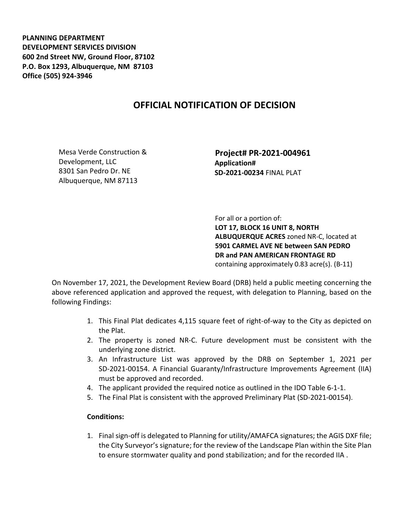**PLANNING DEPARTMENT DEVELOPMENT SERVICES DIVISION 600 2nd Street NW, Ground Floor, 87102 P.O. Box 1293, Albuquerque, NM 87103 Office (505) 924-3946** 

## **OFFICIAL NOTIFICATION OF DECISION**

Mesa Verde Construction & Development, LLC 8301 San Pedro Dr. NE Albuquerque, NM 87113

 **Project# PR-2021-004961 Application# SD-2021-00234** FINAL PLAT

 For all or a portion of: **LOT 17, BLOCK 16 UNIT 8, NORTH ALBUQUERQUE ACRES** zoned NR-C, located at **5901 CARMEL AVE NE between SAN PEDRO DR and PAN AMERICAN FRONTAGE RD**  containing approximately 0.83 acre(s). (B-11)

On November 17, 2021, the Development Review Board (DRB) held a public meeting concerning the above referenced application and approved the request, with delegation to Planning, based on the following Findings:

- 1. This Final Plat dedicates 4,115 square feet of right-of-way to the City as depicted on the Plat.
- 2. The property is zoned NR-C. Future development must be consistent with the underlying zone district.
- 3. An Infrastructure List was approved by the DRB on September 1, 2021 per SD-2021-00154. A Financial Guaranty/Infrastructure Improvements Agreement (IIA) must be approved and recorded.
- 4. The applicant provided the required notice as outlined in the IDO Table 6-1-1.
- 5. The Final Plat is consistent with the approved Preliminary Plat (SD-2021-00154).

## **Conditions:**

1. Final sign-off is delegated to Planning for utility/AMAFCA signatures; the AGIS DXF file; the City Surveyor's signature; for the review of the Landscape Plan within the Site Plan to ensure stormwater quality and pond stabilization; and for the recorded IIA .